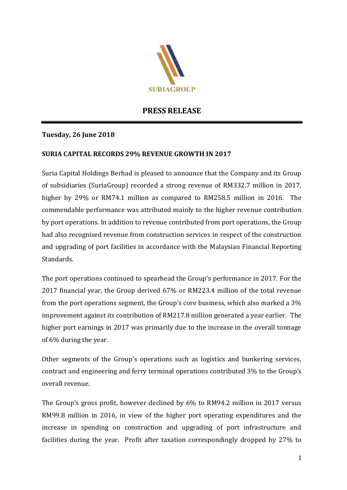

## **PRESS RELEASE**

## **Tuesday, 26 June 2018**

## **SURIA CAPITAL RECORDS 29% REVENUE GROWTH IN 2017**

Suria Capital Holdings Berhad is pleased to announce that the Company and its Group of subsidiaries (SuriaGroup) recorded a strong revenue of RM332.7 million in 2017, higher by 29% or RM74.1 million as compared to RM258.5 million in 2016. The commendable performance was attributed mainly to the higher revenue contribution by port operations. In addition to revenue contributed from port operations, the Group had also recognised revenue from construction services in respect of the construction and upgrading of port facilities in accordance with the Malaysian Financial Reporting Standards.

The port operations continued to spearhead the Group's performance in 2017. For the 2017 financial year, the Group derived 67% or RM223.4 million of the total revenue from the port operations segment, the Group's core business, which also marked a 3% improvement against its contribution of RM217.8 million generated a year earlier. The higher port earnings in 2017 was primarily due to the increase in the overall tonnage of 6% during the year.

Other segments of the Group's operations such as logistics and bunkering services, contract and engineering and ferry terminal operations contributed 3% to the Group's overall revenue.

The Group's gross profit, however declined by 6% to RM94.2 million in 2017 versus RM99.8 million in 2016, in view of the higher port operating expenditures and the increase in spending on construction and upgrading of port infrastructure and facilities during the year. Profit after taxation correspondingly dropped by 27% to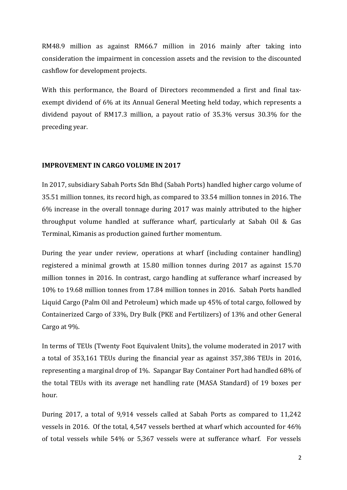RM48.9 million as against RM66.7 million in 2016 mainly after taking into consideration the impairment in concession assets and the revision to the discounted cashflow for development projects.

With this performance, the Board of Directors recommended a first and final taxexempt dividend of 6% at its Annual General Meeting held today, which represents a dividend payout of RM17.3 million, a payout ratio of 35.3% versus 30.3% for the preceding year.

#### **IMPROVEMENT IN CARGO VOLUME IN 2017**

In 2017, subsidiary Sabah Ports Sdn Bhd (Sabah Ports) handled higher cargo volume of 35.51 million tonnes, its record high, as compared to 33.54 million tonnes in 2016. The 6% increase in the overall tonnage during 2017 was mainly attributed to the higher throughput volume handled at sufferance wharf, particularly at Sabah Oil & Gas Terminal, Kimanis as production gained further momentum.

During the year under review, operations at wharf (including container handling) registered a minimal growth at 15.80 million tonnes during 2017 as against 15.70 million tonnes in 2016. In contrast, cargo handling at sufferance wharf increased by 10% to 19.68 million tonnes from 17.84 million tonnes in 2016. Sabah Ports handled Liquid Cargo (Palm Oil and Petroleum) which made up 45% of total cargo, followed by Containerized Cargo of 33%, Dry Bulk (PKE and Fertilizers) of 13% and other General Cargo at 9%.

In terms of TEUs (Twenty Foot Equivalent Units), the volume moderated in 2017 with a total of 353,161 TEUs during the financial year as against 357,386 TEUs in 2016, representing a marginal drop of 1%. Sapangar Bay Container Port had handled 68% of the total TEUs with its average net handling rate (MASA Standard) of 19 boxes per hour.

During 2017, a total of 9,914 vessels called at Sabah Ports as compared to 11,242 vessels in 2016. Of the total, 4,547 vessels berthed at wharf which accounted for 46% of total vessels while 54% or 5,367 vessels were at sufferance wharf. For vessels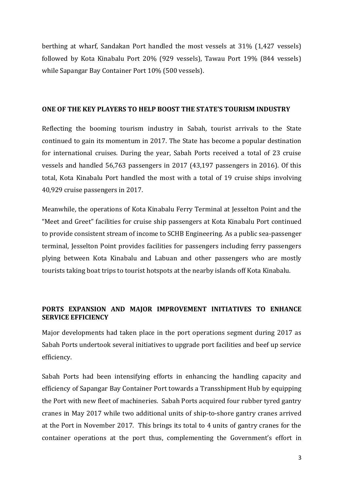berthing at wharf, Sandakan Port handled the most vessels at 31% (1,427 vessels) followed by Kota Kinabalu Port 20% (929 vessels), Tawau Port 19% (844 vessels) while Sapangar Bay Container Port 10% (500 vessels).

#### **ONE OF THE KEY PLAYERS TO HELP BOOST THE STATE'S TOURISM INDUSTRY**

Reflecting the booming tourism industry in Sabah, tourist arrivals to the State continued to gain its momentum in 2017. The State has become a popular destination for international cruises. During the year, Sabah Ports received a total of 23 cruise vessels and handled 56,763 passengers in 2017 (43,197 passengers in 2016). Of this total, Kota Kinabalu Port handled the most with a total of 19 cruise ships involving 40,929 cruise passengers in 2017.

Meanwhile, the operations of Kota Kinabalu Ferry Terminal at Jesselton Point and the "Meet and Greet" facilities for cruise ship passengers at Kota Kinabalu Port continued to provide consistent stream of income to SCHB Engineering. As a public sea-passenger terminal, Jesselton Point provides facilities for passengers including ferry passengers plying between Kota Kinabalu and Labuan and other passengers who are mostly tourists taking boat trips to tourist hotspots at the nearby islands off Kota Kinabalu.

## **PORTS EXPANSION AND MAJOR IMPROVEMENT INITIATIVES TO ENHANCE SERVICE EFFICIENCY**

Major developments had taken place in the port operations segment during 2017 as Sabah Ports undertook several initiatives to upgrade port facilities and beef up service efficiency.

Sabah Ports had been intensifying efforts in enhancing the handling capacity and efficiency of Sapangar Bay Container Port towards a Transshipment Hub by equipping the Port with new fleet of machineries. Sabah Ports acquired four rubber tyred gantry cranes in May 2017 while two additional units of ship-to-shore gantry cranes arrived at the Port in November 2017. This brings its total to 4 units of gantry cranes for the container operations at the port thus, complementing the Government's effort in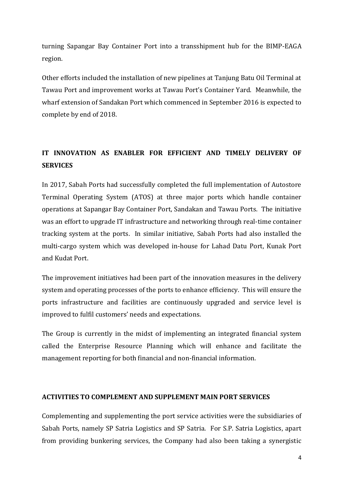turning Sapangar Bay Container Port into a transshipment hub for the BIMP-EAGA region.

Other efforts included the installation of new pipelines at Tanjung Batu Oil Terminal at Tawau Port and improvement works at Tawau Port's Container Yard. Meanwhile, the wharf extension of Sandakan Port which commenced in September 2016 is expected to complete by end of 2018.

# **IT INNOVATION AS ENABLER FOR EFFICIENT AND TIMELY DELIVERY OF SERVICES**

In 2017, Sabah Ports had successfully completed the full implementation of Autostore Terminal Operating System (ATOS) at three major ports which handle container operations at Sapangar Bay Container Port, Sandakan and Tawau Ports. The initiative was an effort to upgrade IT infrastructure and networking through real-time container tracking system at the ports. In similar initiative, Sabah Ports had also installed the multi-cargo system which was developed in-house for Lahad Datu Port, Kunak Port and Kudat Port.

The improvement initiatives had been part of the innovation measures in the delivery system and operating processes of the ports to enhance efficiency. This will ensure the ports infrastructure and facilities are continuously upgraded and service level is improved to fulfil customers' needs and expectations.

The Group is currently in the midst of implementing an integrated financial system called the Enterprise Resource Planning which will enhance and facilitate the management reporting for both financial and non-financial information.

### **ACTIVITIES TO COMPLEMENT AND SUPPLEMENT MAIN PORT SERVICES**

Complementing and supplementing the port service activities were the subsidiaries of Sabah Ports, namely SP Satria Logistics and SP Satria. For S.P. Satria Logistics, apart from providing bunkering services, the Company had also been taking a synergistic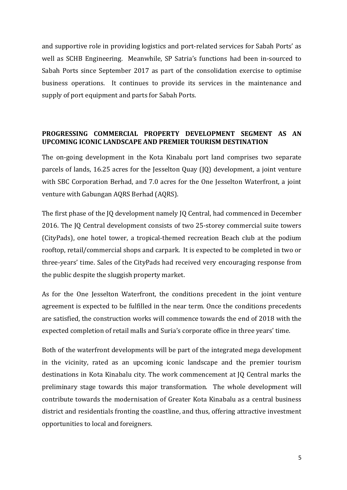and supportive role in providing logistics and port-related services for Sabah Ports' as well as SCHB Engineering. Meanwhile, SP Satria's functions had been in-sourced to Sabah Ports since September 2017 as part of the consolidation exercise to optimise business operations. It continues to provide its services in the maintenance and supply of port equipment and parts for Sabah Ports.

#### **PROGRESSING COMMERCIAL PROPERTY DEVELOPMENT SEGMENT AS AN UPCOMING ICONIC LANDSCAPE AND PREMIER TOURISM DESTINATION**

The on-going development in the Kota Kinabalu port land comprises two separate parcels of lands, 16.25 acres for the Jesselton Quay (JQ) development, a joint venture with SBC Corporation Berhad, and 7.0 acres for the One Jesselton Waterfront, a joint venture with Gabungan AQRS Berhad (AQRS).

The first phase of the JQ development namely JQ Central, had commenced in December 2016. The JQ Central development consists of two 25-storey commercial suite towers (CityPads), one hotel tower, a tropical-themed recreation Beach club at the podium rooftop, retail/commercial shops and carpark. It is expected to be completed in two or three-years' time. Sales of the CityPads had received very encouraging response from the public despite the sluggish property market.

As for the One Jesselton Waterfront, the conditions precedent in the joint venture agreement is expected to be fulfilled in the near term. Once the conditions precedents are satisfied, the construction works will commence towards the end of 2018 with the expected completion of retail malls and Suria's corporate office in three years' time.

Both of the waterfront developments will be part of the integrated mega development in the vicinity, rated as an upcoming iconic landscape and the premier tourism destinations in Kota Kinabalu city. The work commencement at JQ Central marks the preliminary stage towards this major transformation. The whole development will contribute towards the modernisation of Greater Kota Kinabalu as a central business district and residentials fronting the coastline, and thus, offering attractive investment opportunities to local and foreigners.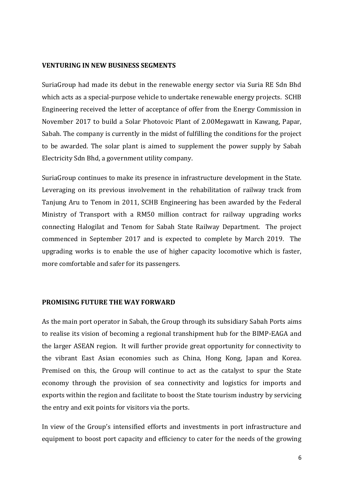#### **VENTURING IN NEW BUSINESS SEGMENTS**

SuriaGroup had made its debut in the renewable energy sector via Suria RE Sdn Bhd which acts as a special-purpose vehicle to undertake renewable energy projects. SCHB Engineering received the letter of acceptance of offer from the Energy Commission in November 2017 to build a Solar Photovoic Plant of 2.00Megawatt in Kawang, Papar, Sabah. The company is currently in the midst of fulfilling the conditions for the project to be awarded. The solar plant is aimed to supplement the power supply by Sabah Electricity Sdn Bhd, a government utility company.

SuriaGroup continues to make its presence in infrastructure development in the State. Leveraging on its previous involvement in the rehabilitation of railway track from Tanjung Aru to Tenom in 2011, SCHB Engineering has been awarded by the Federal Ministry of Transport with a RM50 million contract for railway upgrading works connecting Halogilat and Tenom for Sabah State Railway Department. The project commenced in September 2017 and is expected to complete by March 2019. The upgrading works is to enable the use of higher capacity locomotive which is faster, more comfortable and safer for its passengers.

#### **PROMISING FUTURE THE WAY FORWARD**

As the main port operator in Sabah, the Group through its subsidiary Sabah Ports aims to realise its vision of becoming a regional transhipment hub for the BIMP-EAGA and the larger ASEAN region. It will further provide great opportunity for connectivity to the vibrant East Asian economies such as China, Hong Kong, Japan and Korea. Premised on this, the Group will continue to act as the catalyst to spur the State economy through the provision of sea connectivity and logistics for imports and exports within the region and facilitate to boost the State tourism industry by servicing the entry and exit points for visitors via the ports.

In view of the Group's intensified efforts and investments in port infrastructure and equipment to boost port capacity and efficiency to cater for the needs of the growing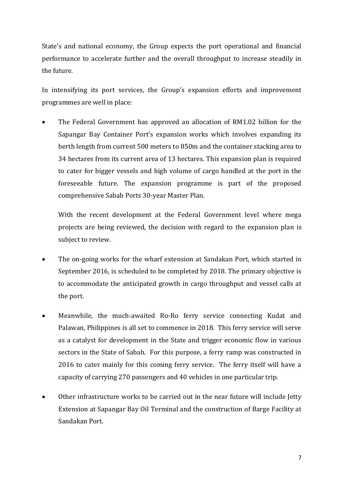State's and national economy, the Group expects the port operational and financial performance to accelerate further and the overall throughput to increase steadily in the future.

In intensifying its port services, the Group's expansion efforts and improvement programmes are well in place:

• The Federal Government has approved an allocation of RM1.02 billion for the Sapangar Bay Container Port's expansion works which involves expanding its berth length from current 500 meters to 850m and the container stacking area to 34 hectares from its current area of 13 hectares. This expansion plan is required to cater for bigger vessels and high volume of cargo handled at the port in the foreseeable future. The expansion programme is part of the proposed comprehensive Sabah Ports 30-year Master Plan.

With the recent development at the Federal Government level where mega projects are being reviewed, the decision with regard to the expansion plan is subject to review.

- The on-going works for the wharf extension at Sandakan Port, which started in September 2016, is scheduled to be completed by 2018. The primary objective is to accommodate the anticipated growth in cargo throughput and vessel calls at the port.
- Meanwhile, the much-awaited Ro-Ro ferry service connecting Kudat and Palawan, Philippines is all set to commence in 2018. This ferry service will serve as a catalyst for development in the State and trigger economic flow in various sectors in the State of Sabah. For this purpose, a ferry ramp was constructed in 2016 to cater mainly for this coming ferry service. The ferry itself will have a capacity of carrying 270 passengers and 40 vehicles in one particular trip.
- Other infrastructure works to be carried out in the near future will include Jetty Extension at Sapangar Bay Oil Terminal and the construction of Barge Facility at Sandakan Port.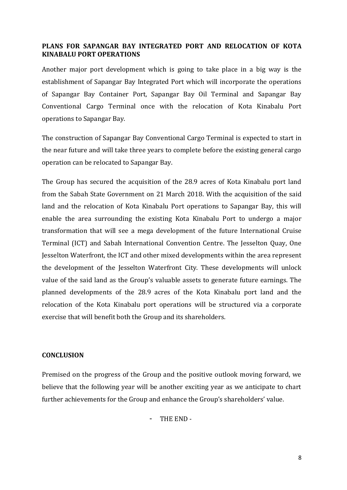## **PLANS FOR SAPANGAR BAY INTEGRATED PORT AND RELOCATION OF KOTA KINABALU PORT OPERATIONS**

Another major port development which is going to take place in a big way is the establishment of Sapangar Bay Integrated Port which will incorporate the operations of Sapangar Bay Container Port, Sapangar Bay Oil Terminal and Sapangar Bay Conventional Cargo Terminal once with the relocation of Kota Kinabalu Port operations to Sapangar Bay.

The construction of Sapangar Bay Conventional Cargo Terminal is expected to start in the near future and will take three years to complete before the existing general cargo operation can be relocated to Sapangar Bay.

The Group has secured the acquisition of the 28.9 acres of Kota Kinabalu port land from the Sabah State Government on 21 March 2018. With the acquisition of the said land and the relocation of Kota Kinabalu Port operations to Sapangar Bay, this will enable the area surrounding the existing Kota Kinabalu Port to undergo a major transformation that will see a mega development of the future International Cruise Terminal (ICT) and Sabah International Convention Centre. The Jesselton Quay, One Jesselton Waterfront, the ICT and other mixed developments within the area represent the development of the Jesselton Waterfront City. These developments will unlock value of the said land as the Group's valuable assets to generate future earnings. The planned developments of the 28.9 acres of the Kota Kinabalu port land and the relocation of the Kota Kinabalu port operations will be structured via a corporate exercise that will benefit both the Group and its shareholders.

### **CONCLUSION**

Premised on the progress of the Group and the positive outlook moving forward, we believe that the following year will be another exciting year as we anticipate to chart further achievements for the Group and enhance the Group's shareholders' value.

THE END-